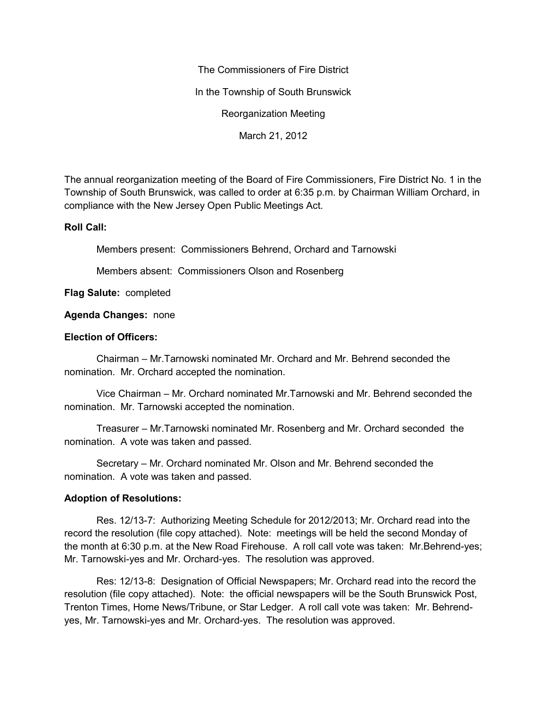The Commissioners of Fire District In the Township of South Brunswick Reorganization Meeting

March 21, 2012

The annual reorganization meeting of the Board of Fire Commissioners, Fire District No. 1 in the Township of South Brunswick, was called to order at 6:35 p.m. by Chairman William Orchard, in compliance with the New Jersey Open Public Meetings Act.

## **Roll Call:**

Members present: Commissioners Behrend, Orchard and Tarnowski

Members absent: Commissioners Olson and Rosenberg

**Flag Salute:** completed

## **Agenda Changes:** none

## **Election of Officers:**

Chairman – Mr.Tarnowski nominated Mr. Orchard and Mr. Behrend seconded the nomination. Mr. Orchard accepted the nomination.

Vice Chairman – Mr. Orchard nominated Mr.Tarnowski and Mr. Behrend seconded the nomination. Mr. Tarnowski accepted the nomination.

Treasurer – Mr.Tarnowski nominated Mr. Rosenberg and Mr. Orchard seconded the nomination. A vote was taken and passed.

Secretary – Mr. Orchard nominated Mr. Olson and Mr. Behrend seconded the nomination. A vote was taken and passed.

## **Adoption of Resolutions:**

Res. 12/13-7: Authorizing Meeting Schedule for 2012/2013; Mr. Orchard read into the record the resolution (file copy attached). Note: meetings will be held the second Monday of the month at 6:30 p.m. at the New Road Firehouse. A roll call vote was taken: Mr.Behrend-yes; Mr. Tarnowski-yes and Mr. Orchard-yes. The resolution was approved.

Res: 12/13-8: Designation of Official Newspapers; Mr. Orchard read into the record the resolution (file copy attached). Note: the official newspapers will be the South Brunswick Post, Trenton Times, Home News/Tribune, or Star Ledger. A roll call vote was taken: Mr. Behrend yes, Mr. Tarnowski-yes and Mr. Orchard-yes. The resolution was approved.